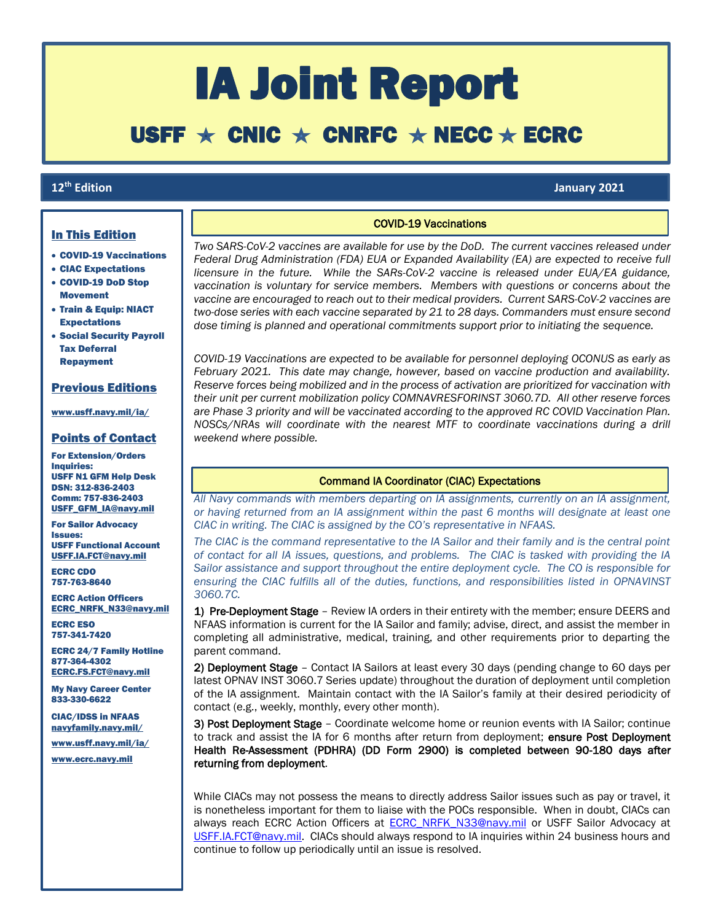# IA Joint Report

# USFF  $\star$  CNIC  $\star$  CNRFC  $\star$  NECC  $\star$  ECRC

### 12<sup>th</sup> Edition

ſ

# **th Edition January 2021**

#### In This Edition

- COVID-19 Vaccinations
- CIAC Expectations
- COVID-19 DoD Stop Movement
- Train & Equip: NIACT Expectations
- Social Security Payroll Tax Deferral Repayment

# Previous Editions

[www.usff.navy.mil/ia/](https://www.usff.navy.mil/ia/)

### Points of Contact

For Extension/Orders Inquiries: USFF N1 GFM Help Desk DSN: 312-836-2403 Comm: 757-836-2403 [USFF\\_GFM\\_IA@navy.mil](mailto:USFF_GFM_IA@navy.mil)

For Sailor Advocacy Issues: USFF Functional Account [USFF.IA.FCT@navy.mil](mailto:USFF.IA.FCT@navy.mil)

ECRC CDO 757-763-8640

ECRC Action Officers [ECRC\\_NRFK\\_N33@navy.mil](mailto:ecrc_nrfk_n33@navy.mil)

ECRC ESO 757-341-7420

ECRC 24/7 Family Hotline 877-364-4302 [ECRC.FS.FCT@navy.mil](mailto:ECRC.FS.FCT@navy.mil)

My Navy Career Center 833-330-6622

CIAC/IDSS in NFAAS [navyfamily.navy.mil/](https://navyfamily.navy.mil/)

[www.usff.navy.mil/ia/](https://www.usff.navy.mil/ia/)

[www.ecrc.navy.mil](http://www.ecrc.navy.mil/)

# COVID-19 Vaccinations

*Two SARS-CoV-2 vaccines are available for use by the DoD. The current vaccines released under Federal Drug Administration (FDA) EUA or Expanded Availability (EA) are expected to receive full licensure in the future. While the SARs-CoV-2 vaccine is released under EUA/EA guidance, vaccination is voluntary for service members. Members with questions or concerns about the vaccine are encouraged to reach out to their medical providers. Current SARS-CoV-2 vaccines are two-dose series with each vaccine separated by 21 to 28 days. Commanders must ensure second dose timing is planned and operational commitments support prior to initiating the sequence.*

*COVID-19 Vaccinations are expected to be available for personnel deploying OCONUS as early as February 2021. This date may change, however, based on vaccine production and availability. Reserve forces being mobilized and in the process of activation are prioritized for vaccination with their unit per current mobilization policy COMNAVRESFORINST 3060.7D. All other reserve forces are Phase 3 priority and will be vaccinated according to the approved RC COVID Vaccination Plan. NOSCs/NRAs will coordinate with the nearest MTF to coordinate vaccinations during a drill weekend where possible.*

### Command IA Coordinator (CIAC) Expectations

*All Navy commands with members departing on IA assignments, currently on an IA assignment, or having returned from an IA assignment within the past 6 months will designate at least one CIAC in writing. The CIAC is assigned by the CO's representative in NFAAS.*

*The CIAC is the command representative to the IA Sailor and their family and is the central point of contact for all IA issues, questions, and problems. The CIAC is tasked with providing the IA Sailor assistance and support throughout the entire deployment cycle. The CO is responsible for ensuring the CIAC fulfills all of the duties, functions, and responsibilities listed in OPNAVINST 3060.7C.*

1) Pre-Deployment Stage - Review IA orders in their entirety with the member; ensure DEERS and NFAAS information is current for the IA Sailor and family; advise, direct, and assist the member in completing all administrative, medical, training, and other requirements prior to departing the parent command.

2) Deployment Stage – Contact IA Sailors at least every 30 days (pending change to 60 days per latest OPNAV INST 3060.7 Series update) throughout the duration of deployment until completion of the IA assignment. Maintain contact with the IA Sailor's family at their desired periodicity of contact (e.g., weekly, monthly, every other month).

3) Post Deployment Stage – Coordinate welcome home or reunion events with IA Sailor; continue to track and assist the IA for 6 months after return from deployment; ensure Post Deployment Health Re-Assessment (PDHRA) (DD Form 2900) is completed between 90-180 days after returning from deployment.

While CIACs may not possess the means to directly address Sailor issues such as pay or travel, it is nonetheless important for them to liaise with the POCs responsible. When in doubt, CIACs can always reach ECRC Action Officers at **ECRC NRFK N33@navy.mil or USFF Sailor Advocacy at** [USFF.IA.FCT@navy.mil.](mailto:USFF.IA.FCT@navy.mil) CIACs should always respond to IA inquiries within 24 business hours and continue to follow up periodically until an issue is resolved.